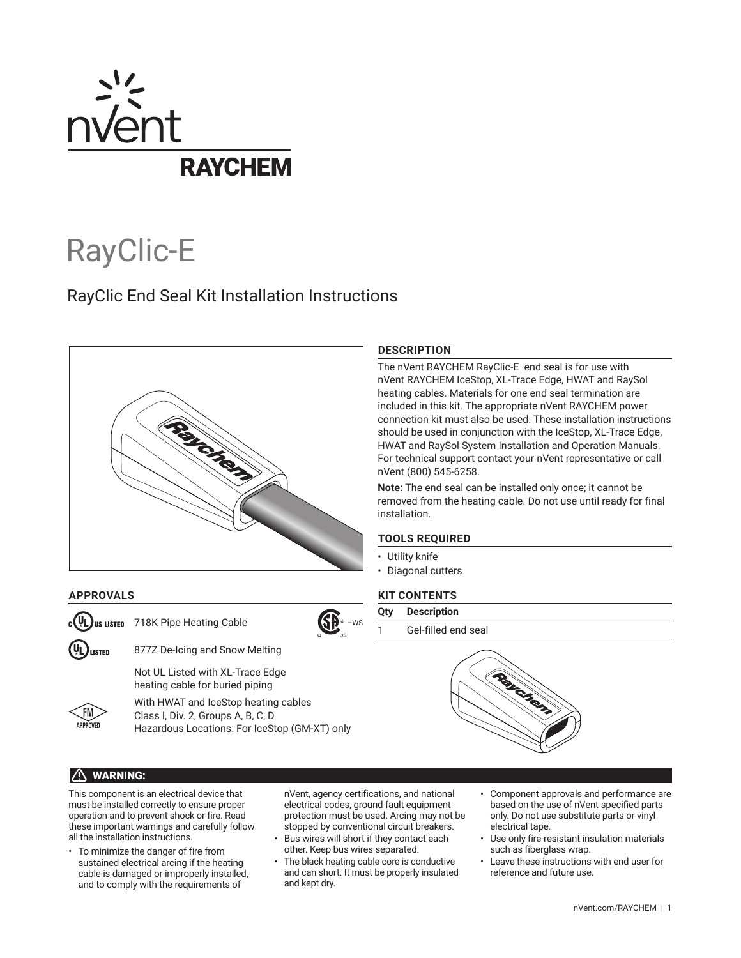

# RayClic-E

# RayClic End Seal Kit Installation Instructions



# **APPROVALS**

Us **LISTED** 718K Pipe Heating Cable

LISTED

877Z De-Icing and Snow Melting

Not UL Listed with XL-Trace Edge heating cable for buried piping



With HWAT and IceStop heating cables Class I, Div. 2, Groups A, B, C, D Hazardous Locations: For IceStop (GM-XT) only **DESCRIPTION**

The nVent RAYCHEM RayClic-E end seal is for use with nVent RAYCHEM IceStop, XL-Trace Edge, HWAT and RaySol heating cables. Materials for one end seal termination are included in this kit. The appropriate nVent RAYCHEM power connection kit must also be used. These installation instructions should be used in conjunction with the IceStop, XL-Trace Edge, HWAT and RaySol System Installation and Operation Manuals. For technical support contact your nVent representative or call nVent (800) 545-6258.

**Note:** The end seal can be installed only once; it cannot be removed from the heating cable. Do not use until ready for final installation.

# **TOOLS REQUIRED**

- Utility knife
- Diagonal cutters

# **KIT CONTENTS**

- **Qty Description**
- Gel-filled end seal



# WARNING:

This component is an electrical device that must be installed correctly to ensure proper operation and to prevent shock or fire. Read these important warnings and carefully follow all the installation instructions.

• To minimize the danger of fire from sustained electrical arcing if the heating cable is damaged or improperly installed, and to comply with the requirements of

nVent, agency certifications, and national electrical codes, ground fault equipment protection must be used. Arcing may not be stopped by conventional circuit breakers.

Bus wires will short if they contact each other. Keep bus wires separated.

–WS

- The black heating cable core is conductive and can short. It must be properly insulated and kept dry.
- Component approvals and performance are based on the use of nVent-specified parts only. Do not use substitute parts or vinyl electrical tape.
- Use only fire-resistant insulation materials such as fiberglass wrap.
- Leave these instructions with end user for reference and future use.